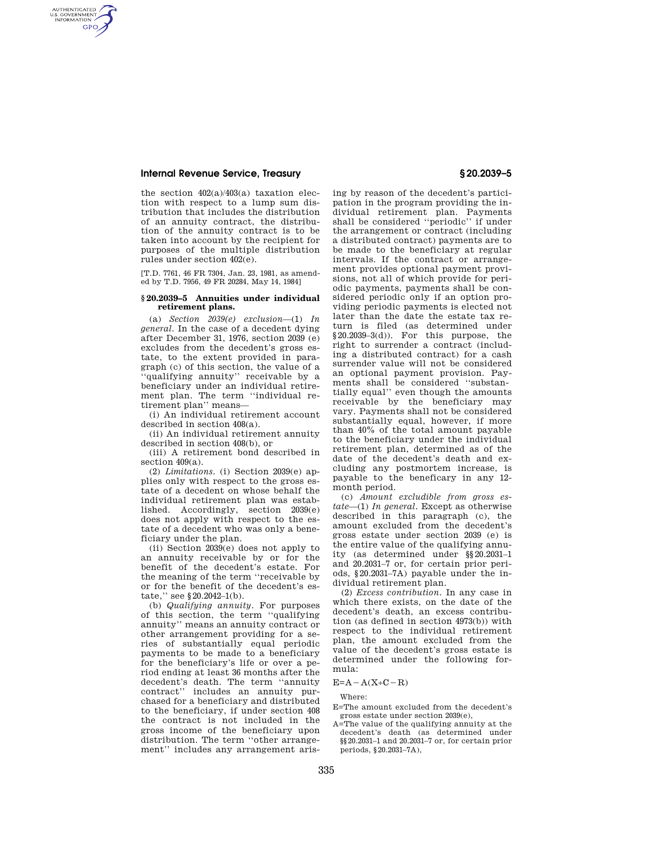## **Internal Revenue Service, Treasury § 20.2039–5**

AUTHENTICATED<br>U.S. GOVERNMENT<br>INFORMATION **GPO** 

> the section 402(a)/403(a) taxation election with respect to a lump sum distribution that includes the distribution of an annuity contract, the distribution of the annuity contract is to be taken into account by the recipient for purposes of the multiple distribution rules under section 402(e).

[T.D. 7761, 46 FR 7304, Jan. 23, 1981, as amended by T.D. 7956, 49 FR 20284, May 14, 1984]

## **§ 20.2039–5 Annuities under individual retirement plans.**

(a) *Section 2039(e) exclusion*—(1) *In general.* In the case of a decedent dying after December 31, 1976, section 2039 (e) excludes from the decedent's gross estate, to the extent provided in paragraph (c) of this section, the value of a 'qualifying annuity'' receivable by a beneficiary under an individual retirement plan. The term ''individual retirement plan'' means—

(i) An individual retirement account described in section 408(a).

(ii) An individual retirement annuity described in section 408(b), or

(iii) A retirement bond described in section 409(a).

(2) *Limitations.* (i) Section 2039(e) applies only with respect to the gross estate of a decedent on whose behalf the individual retirement plan was established. Accordingly, section 2039(e) does not apply with respect to the estate of a decedent who was only a beneficiary under the plan.

(ii) Section 2039(e) does not apply to an annuity receivable by or for the benefit of the decedent's estate. For the meaning of the term ''receivable by or for the benefit of the decedent's estate," see §20.2042-1(b).

(b) *Qualifying annuity.* For purposes of this section, the term ''qualifying annuity'' means an annuity contract or other arrangement providing for a series of substantially equal periodic payments to be made to a beneficiary for the beneficiary's life or over a period ending at least 36 months after the decedent's death. The term ''annuity contract'' includes an annuity purchased for a beneficiary and distributed to the beneficiary, if under section 408 the contract is not included in the gross income of the beneficiary upon distribution. The term ''other arrangement'' includes any arrangement aris-

ing by reason of the decedent's participation in the program providing the individual retirement plan. Payments shall be considered ''periodic'' if under the arrangement or contract (including a distributed contract) payments are to be made to the beneficiary at regular intervals. If the contract or arrangement provides optional payment provisions, not all of which provide for periodic payments, payments shall be considered periodic only if an option providing periodic payments is elected not later than the date the estate tax return is filed (as determined under  $§20.2039-3(d)$ . For this purpose, the right to surrender a contract (including a distributed contract) for a cash surrender value will not be considered an optional payment provision. Payments shall be considered ''substantially equal'' even though the amounts receivable by the beneficiary may vary. Payments shall not be considered substantially equal, however, if more than 40% of the total amount payable to the beneficiary under the individual retirement plan, determined as of the date of the decedent's death and excluding any postmortem increase, is payable to the beneficary in any 12 month period.

(c) *Amount excludible from gross estate*—(1) *In general.* Except as otherwise described in this paragraph (c), the amount excluded from the decedent's gross estate under section 2039 (e) is the entire value of the qualifying annuity (as determined under §§20.2031–1 and 20.2031–7 or, for certain prior periods, §20.2031–7A) payable under the individual retirement plan.

(2) *Excess contribution.* In any case in which there exists, on the date of the decedent's death, an excess contribution (as defined in section 4973(b)) with respect to the individual retirement plan, the amount excluded from the value of the decedent's gross estate is determined under the following formula:

 $E=A-A(X+C-R)$ 

Where:

- E=The amount excluded from the decedent's gross estate under section 2039(e),
- A=The value of the qualifying annuity at the decedent's death (as determined under §§20.2031–1 and 20.2031–7 or, for certain prior periods, §20.2031–7A),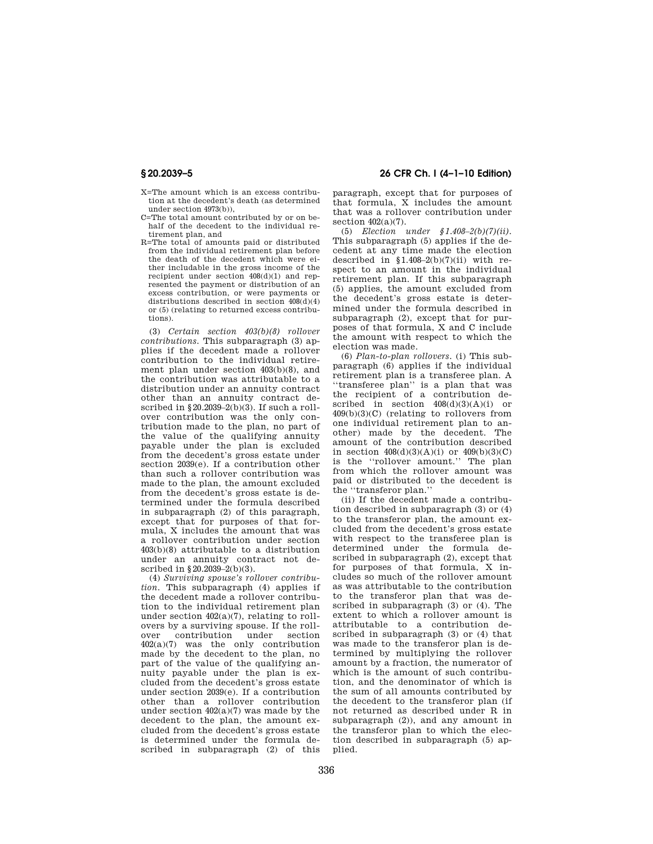- X=The amount which is an excess contribution at the decedent's death (as determined under section 4973(b)),
- C=The total amount contributed by or on behalf of the decedent to the individual retirement plan, and
- R=The total of amounts paid or distributed from the individual retirement plan before the death of the decedent which were either includable in the gross income of the recipient under section 408(d)(1) and represented the payment or distribution of an excess contribution, or were payments or distributions described in section 408(d)(4) or (5) (relating to returned excess contributions).

(3) *Certain section 403(b)(8) rollover contributions.* This subparagraph (3) applies if the decedent made a rollover contribution to the individual retirement plan under section 403(b)(8), and the contribution was attributable to a distribution under an annuity contract other than an annuity contract described in  $\S 20.2039-2(b)(3)$ . If such a rollover contribution was the only contribution made to the plan, no part of the value of the qualifying annuity payable under the plan is excluded from the decedent's gross estate under section 2039(e). If a contribution other than such a rollover contribution was made to the plan, the amount excluded from the decedent's gross estate is determined under the formula described in subparagraph (2) of this paragraph, except that for purposes of that formula, X includes the amount that was a rollover contribution under section 403(b)(8) attributable to a distribution under an annuity contract not described in §20.2039–2(b)(3).

(4) *Surviving spouse's rollover contribution.* This subparagraph (4) applies if the decedent made a rollover contribution to the individual retirement plan under section  $402(a)(7)$ , relating to rollovers by a surviving spouse. If the rollover contribution under section 402(a)(7) was the only contribution made by the decedent to the plan, no part of the value of the qualifying annuity payable under the plan is excluded from the decedent's gross estate under section 2039(e). If a contribution other than a rollover contribution under section 402(a)(7) was made by the decedent to the plan, the amount excluded from the decedent's gross estate is determined under the formula described in subparagraph (2) of this

# **§ 20.2039–5 26 CFR Ch. I (4–1–10 Edition)**

paragraph, except that for purposes of that formula, X includes the amount that was a rollover contribution under section  $402(a)(7)$ .

(5) *Election under §1.408–2(b)(7)(ii).*  This subparagraph (5) applies if the decedent at any time made the election described in  $$1.408-2(b)(7)(ii)$  with respect to an amount in the individual retirement plan. If this subparagraph (5) applies, the amount excluded from the decedent's gross estate is determined under the formula described in subparagraph (2), except that for purposes of that formula, X and C include the amount with respect to which the election was made.

(6) *Plan-to-plan rollovers.* (i) This subparagraph (6) applies if the individual retirement plan is a transferee plan. A ''transferee plan'' is a plan that was the recipient of a contribution described in section  $408(d)(3)(A)(i)$  or 409(b)(3)(C) (relating to rollovers from one individual retirement plan to another) made by the decedent. The amount of the contribution described in section  $408(d)(3)(A)(i)$  or  $409(b)(3)(C)$ is the ''rollover amount.'' The plan from which the rollover amount was paid or distributed to the decedent is the ''transferor plan.''

(ii) If the decedent made a contribution described in subparagraph (3) or (4) to the transferor plan, the amount excluded from the decedent's gross estate with respect to the transferee plan is determined under the formula described in subparagraph (2), except that for purposes of that formula, X includes so much of the rollover amount as was attributable to the contribution to the transferor plan that was described in subparagraph (3) or (4). The extent to which a rollover amount is attributable to a contribution described in subparagraph (3) or (4) that was made to the transferor plan is determined by multiplying the rollover amount by a fraction, the numerator of which is the amount of such contribution, and the denominator of which is the sum of all amounts contributed by the decedent to the transferor plan (if not returned as described under R in subparagraph (2)), and any amount in the transferor plan to which the election described in subparagraph (5) applied.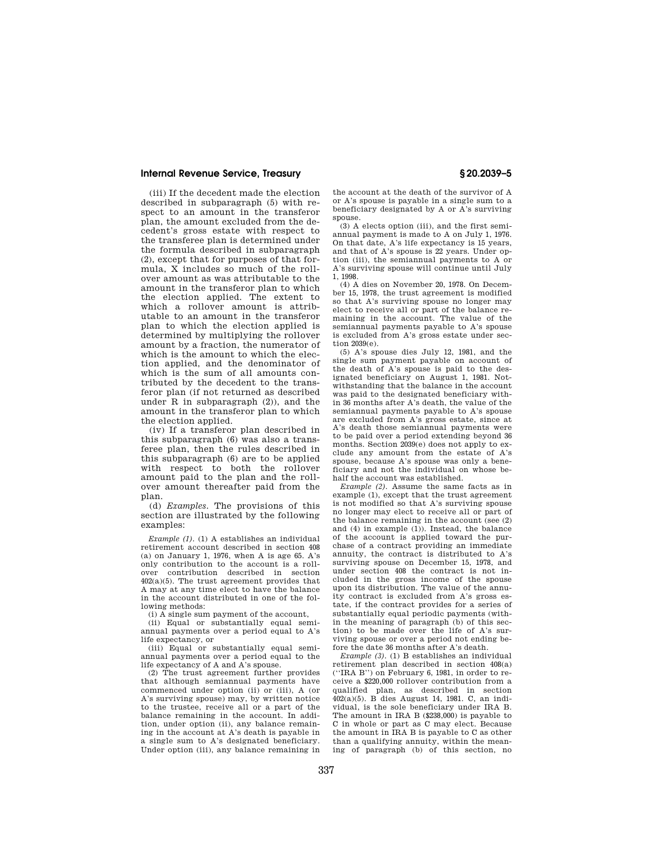## **Internal Revenue Service, Treasury § 20.2039–5**

(iii) If the decedent made the election described in subparagraph (5) with respect to an amount in the transferor plan, the amount excluded from the decedent's gross estate with respect to the transferee plan is determined under the formula described in subparagraph (2), except that for purposes of that formula, X includes so much of the rollover amount as was attributable to the amount in the transferor plan to which the election applied. The extent to which a rollover amount is attributable to an amount in the transferor plan to which the election applied is determined by multiplying the rollover amount by a fraction, the numerator of which is the amount to which the election applied, and the denominator of which is the sum of all amounts contributed by the decedent to the transferor plan (if not returned as described under R in subparagraph (2)), and the amount in the transferor plan to which the election applied.

(iv) If a transferor plan described in this subparagraph (6) was also a transferee plan, then the rules described in this subparagraph (6) are to be applied with respect to both the rollover amount paid to the plan and the rollover amount thereafter paid from the plan.

(d) *Examples.* The provisions of this section are illustrated by the following examples:

*Example (1).* (1) A establishes an individual retirement account described in section 408  $(a)$  on January 1, 1976, when A is age 65. A's only contribution to the account is a rollover contribution described in section 402(a)(5). The trust agreement provides that A may at any time elect to have the balance in the account distributed in one of the following methods:

(i) A single sum payment of the account,

(ii) Equal or substantially equal semiannual payments over a period equal to A's life expectancy, or

(iii) Equal or substantially equal semiannual payments over a period equal to the life expectancy of A and A's spouse.

(2) The trust agreement further provides that although semiannual payments have commenced under option (ii) or (iii), A (or A's surviving spouse) may, by written notice to the trustee, receive all or a part of the balance remaining in the account. In addition, under option (ii), any balance remaining in the account at A's death is payable in a single sum to A's designated beneficiary. Under option (iii), any balance remaining in

the account at the death of the survivor of A or A's spouse is payable in a single sum to a beneficiary designated by A or A's surviving spouse.

(3) A elects option (iii), and the first semiannual payment is made to A on July 1, 1976. On that date, A's life expectancy is 15 years, and that of A's spouse is 22 years. Under option (iii), the semiannual payments to A or A's surviving spouse will continue until July 1, 1998.

(4) A dies on November 20, 1978. On December 15, 1978, the trust agreement is modified so that A's surviving spouse no longer may elect to receive all or part of the balance remaining in the account. The value of the semiannual payments payable to A's spouse is excluded from A's gross estate under section 2039(e).

(5) A's spouse dies July 12, 1981, and the single sum payment payable on account of the death of A's spouse is paid to the designated beneficiary on August 1, 1981. Notwithstanding that the balance in the account was paid to the designated beneficiary within 36 months after A's death, the value of the semiannual payments payable to A's spouse are excluded from A's gross estate, since at A's death those semiannual payments were to be paid over a period extending beyond 36 months. Section 2039(e) does not apply to exclude any amount from the estate of A's spouse, because A's spouse was only a beneficiary and not the individual on whose behalf the account was established.

*Example (2).* Assume the same facts as in example (1), except that the trust agreement is not modified so that A's surviving spouse no longer may elect to receive all or part of the balance remaining in the account (see (2) and (4) in example (1)). Instead, the balance of the account is applied toward the purchase of a contract providing an immediate annuity, the contract is distributed to A's surviving spouse on December 15, 1978, and under section 408 the contract is not included in the gross income of the spouse upon its distribution. The value of the annuity contract is excluded from A's gross estate, if the contract provides for a series of substantially equal periodic payments (within the meaning of paragraph (b) of this section) to be made over the life of A's surviving spouse or over a period not ending before the date 36 months after A's death.

*Example (3).* (1) B establishes an individual retirement plan described in section 408(a) (''IRA B'') on February 6, 1981, in order to receive a \$220,000 rollover contribution from a qualified plan, as described in section 402(a)(5). B dies August 14, 1981. C, an individual, is the sole beneficiary under IRA B. The amount in IRA B (\$238,000) is payable to C in whole or part as C may elect. Because the amount in IRA B is payable to C as other than a qualifying annuity, within the meaning of paragraph (b) of this section, no